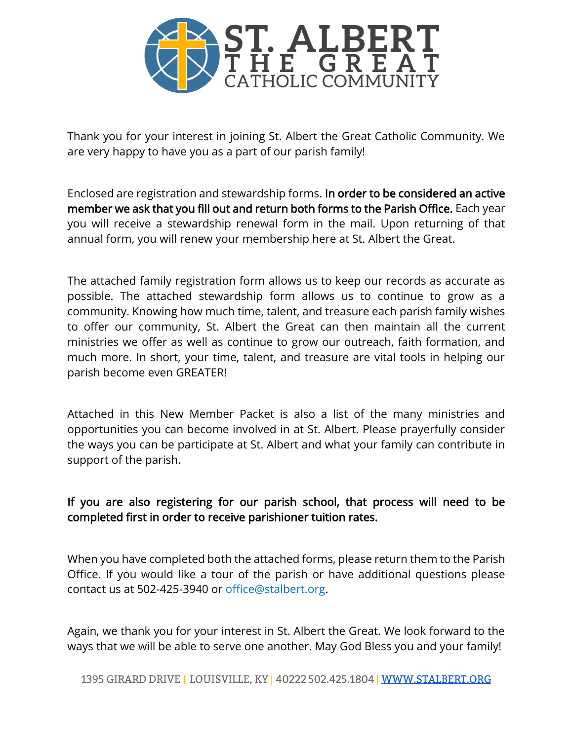

Thank you for your interest in joining St. Albert the Great Catholic Community. We are very happy to have you as a part of our parish family!

Enclosed are registration and stewardship forms. In order to be considered an active member we ask that you fill out and return both forms to the Parish Office. Each year you will receive a stewardship renewal form in the mail. Upon returning of that annual form, you will renew your membership here at St. Albert the Great.

The attached family registration form allows us to keep our records as accurate as possible. The attached stewardship form allows us to continue to grow as a community. Knowing how much time, talent, and treasure each parish family wishes to offer our community, St. Albert the Great can then maintain all the current ministries we offer as well as continue to grow our outreach, faith formation, and much more. In short, your time, talent, and treasure are vital tools in helping our parish become even GREATER!

Attached in this New Member Packet is also a list of the many ministries and opportunities you can become involved in at St. Albert. Please prayerfully consider the ways you can be participate at St. Albert and what your family can contribute in support of the parish.

## If you are also registering for our parish school, that process will need to be completed first in order to receive parishioner tuition rates.

When you have completed both the attached forms, please return them to the Parish Office. If you would like a tour of the parish or have additional questions please contact us at 502-425-3940 or office@stalbert.org.

Again, we thank you for your interest in St. Albert the Great. We look forward to the ways that we will be able to serve one another. May God Bless you and your family!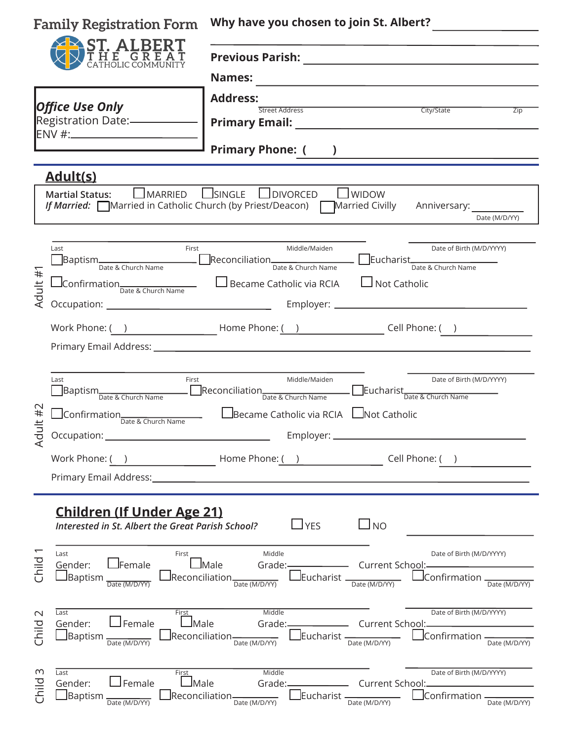| <b>Family Registration Form</b><br><b>ST. ALBERT</b><br>THE GREAT                                                 |                                                                                                                                | Why have you chosen to join St. Albert?<br><b>Previous Parish:</b><br><u> 1980 - Andrea Andrew Maria (h. 1980).</u><br><b>Names:</b>                                               |                                                                                  |  |  |                        |  |                                                        |                   |
|-------------------------------------------------------------------------------------------------------------------|--------------------------------------------------------------------------------------------------------------------------------|------------------------------------------------------------------------------------------------------------------------------------------------------------------------------------|----------------------------------------------------------------------------------|--|--|------------------------|--|--------------------------------------------------------|-------------------|
|                                                                                                                   |                                                                                                                                |                                                                                                                                                                                    |                                                                                  |  |  | <b>Office Use Only</b> |  | <b>Address:</b><br><u>City/State</u><br>Street Address |                   |
|                                                                                                                   |                                                                                                                                |                                                                                                                                                                                    |                                                                                  |  |  |                        |  |                                                        | $\overline{Z}$ ip |
| <b>Primary Phone: ()</b>                                                                                          |                                                                                                                                |                                                                                                                                                                                    |                                                                                  |  |  |                        |  |                                                        |                   |
|                                                                                                                   | <u>Adult(s)</u>                                                                                                                |                                                                                                                                                                                    |                                                                                  |  |  |                        |  |                                                        |                   |
|                                                                                                                   | LMARRED<br><b>Martial Status:</b>                                                                                              | $\Box$ SINGLE<br>$\Box$ DIVORCED<br>$\Box$ WIDOW<br>If Married: Married in Catholic Church (by Priest/Deacon) Married Civilly Anniversary:                                         | Date (M/D/YY)                                                                    |  |  |                        |  |                                                        |                   |
| Adult #                                                                                                           | First<br>Last<br>$\Box$ Confirmation $\Box$ $\Box$ Became Catholic via RCIA                                                    | Middle/Maiden<br>■Baptism <sub>Date &amp;</sub> Church Name  ■ Reconciliation ■ Date & Church Name Date & Church Name Date & Church Name Date & Church Name<br>$\Box$ Not Catholic | Date of Birth (M/D/YYYY)                                                         |  |  |                        |  |                                                        |                   |
|                                                                                                                   |                                                                                                                                | Work Phone: ( ) $\qquad \qquad$ Home Phone: ( ) $\qquad \qquad$ Cell Phone: ( )                                                                                                    |                                                                                  |  |  |                        |  |                                                        |                   |
| ult#2<br>$\overline{Q}$                                                                                           | Last<br>First<br>■Baptism <sub>Date &amp;</sub> Church Name ■ ■Reconciliation <sub>Date &amp;</sub> Church Name                | Middle/Maiden<br>Eucharist<br>Date & Church Name<br>LBecame Catholic via RCIA LNot Catholic                                                                                        | Date of Birth (M/D/YYYY)                                                         |  |  |                        |  |                                                        |                   |
|                                                                                                                   | Occupation:<br>Work Phone: (<br>Primary Email Address:                                                                         | Employer: _<br>$\begin{array}{c} \begin{array}{c} \begin{array}{c} \end{array} \end{array}$ Home Phone: ( )<br>Cell Phone: (                                                       |                                                                                  |  |  |                        |  |                                                        |                   |
| <b>Children (If Under Age 21)</b><br>$\Box$ YES<br>$\Box$ NO<br>Interested in St. Albert the Great Parish School? |                                                                                                                                |                                                                                                                                                                                    |                                                                                  |  |  |                        |  |                                                        |                   |
| Child                                                                                                             | Last<br>First<br>$\Box$ Female<br>Gender:<br>$\sqcup$ Baptism<br>$\;$ lReconciliation $\;$<br>Date (M/D/YY)                    | Middle<br>$\mathsf{\mathsf{Male}}$<br>Current School:-<br>Grade:-<br>$\_$ Eucharist $\_$<br>Date (M/D/YY)<br>Date (M/D/YY)                                                         | Date of Birth (M/D/YYYY)<br>$\Box$ Confirmation $\_\_\_\_\_\_\$<br>Date (M/D/YY) |  |  |                        |  |                                                        |                   |
| $\sim$<br>Child                                                                                                   | Last<br>First<br>$\Box$ Female<br>$\square$ Male<br>Gender:<br>$\sf$ Baptism $\sf$<br>$\;$ Reconciliation $-$<br>Date (M/D/YY) | Middle<br>Current School:<br>Grade:-<br>$\Box$ Eucharist -<br>Date (M/D/YY)<br>Date (M/D/YY)                                                                                       | Date of Birth (M/D/YYYY)<br>$\Box$ Confirmation $\_\_\_\_\$<br>Date (M/D/YY)     |  |  |                        |  |                                                        |                   |
| m<br>Child                                                                                                        | Last<br>First<br>$\Box$ Female<br>$\Box$ Male<br>Gender:<br>$\Box$ Baptism<br>Date (M/D/YY)                                    | Middle<br>Grade: Current School:<br>$\frac{1}{\sqrt{2}}$ Reconciliation $\frac{1}{\sqrt{2}}$ Date (M/D/YY)<br>$I_{\text{Eucharist}}$ $I_{\text{Date (M/D/YY)}}$                    | Date of Birth (M/D/YYYY)<br>$\Box$ Confirmation $\frac{1}{\Box}$ Date (M/D/YY)   |  |  |                        |  |                                                        |                   |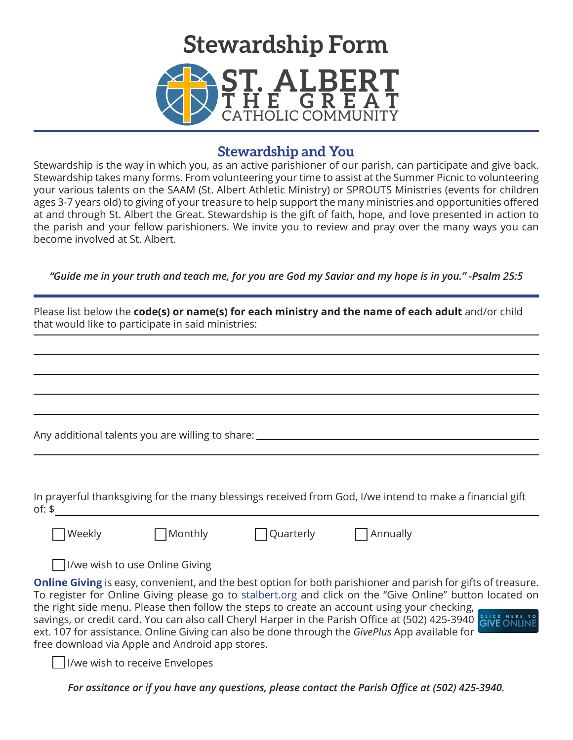

## **Stewardship and You**

Stewardship is the way in which you, as an active parishioner of our parish, can participate and give back. Stewardship takes many forms. From volunteering your time to assist at the Summer Picnic to volunteering your various talents on the SAAM (St. Albert Athletic Ministry) or SPROUTS Ministries (events for children ages 3-7 years old) to giving of your treasure to help support the many ministries and opportunities offered at and through St. Albert the Great. Stewardship is the gift of faith, hope, and love presented in action to the parish and your fellow parishioners. We invite you to review and pray over the many ways you can become involved at St. Albert.

*"Guide me in your truth and teach me, for you are God my Savior and my hope is in you." -Psalm 25:5*

| Please list below the code(s) or name(s) for each ministry and the name of each adult and/or child<br>that would like to participate in said ministries: |                                                             |           |                                                                                                                                                                                                                                                                                                                                                                                                                                                  |  |  |  |
|----------------------------------------------------------------------------------------------------------------------------------------------------------|-------------------------------------------------------------|-----------|--------------------------------------------------------------------------------------------------------------------------------------------------------------------------------------------------------------------------------------------------------------------------------------------------------------------------------------------------------------------------------------------------------------------------------------------------|--|--|--|
|                                                                                                                                                          |                                                             |           |                                                                                                                                                                                                                                                                                                                                                                                                                                                  |  |  |  |
|                                                                                                                                                          |                                                             |           |                                                                                                                                                                                                                                                                                                                                                                                                                                                  |  |  |  |
|                                                                                                                                                          |                                                             |           |                                                                                                                                                                                                                                                                                                                                                                                                                                                  |  |  |  |
|                                                                                                                                                          | Any additional talents you are willing to share: __________ |           |                                                                                                                                                                                                                                                                                                                                                                                                                                                  |  |  |  |
|                                                                                                                                                          |                                                             |           |                                                                                                                                                                                                                                                                                                                                                                                                                                                  |  |  |  |
| of: $$$                                                                                                                                                  |                                                             |           | In prayerful thanksgiving for the many blessings received from God, I/we intend to make a financial gift                                                                                                                                                                                                                                                                                                                                         |  |  |  |
| Weekly                                                                                                                                                   | Monthly                                                     | Quarterly | $\Box$ Annually                                                                                                                                                                                                                                                                                                                                                                                                                                  |  |  |  |
|                                                                                                                                                          | I/we wish to use Online Giving                              |           |                                                                                                                                                                                                                                                                                                                                                                                                                                                  |  |  |  |
|                                                                                                                                                          |                                                             |           | <b>Online Giving</b> is easy, convenient, and the best option for both parishioner and parish for gifts of treasure.<br>To register for Online Giving please go to stalbert.org and click on the "Give Online" button located on<br>the right side menu. Please then follow the steps to create an account using your checking,<br>Cavings or spotting of Voucan also sall Changled Inspection the Darich Office at (E02) 425 2040 SLICK HERE TO |  |  |  |

savings, or credit card. You can also call Cheryl Harper in the Parish Office at (502) 425-3940 GIVE ONLIN ext. 107 for assistance. Online Giving can also be done through the *GivePlus* App available for free download via Apple and Android app stores.

I/we wish to receive Envelopes

*For assitance or if you have any questions, please contact the Parish Office at (502) 425-3940.*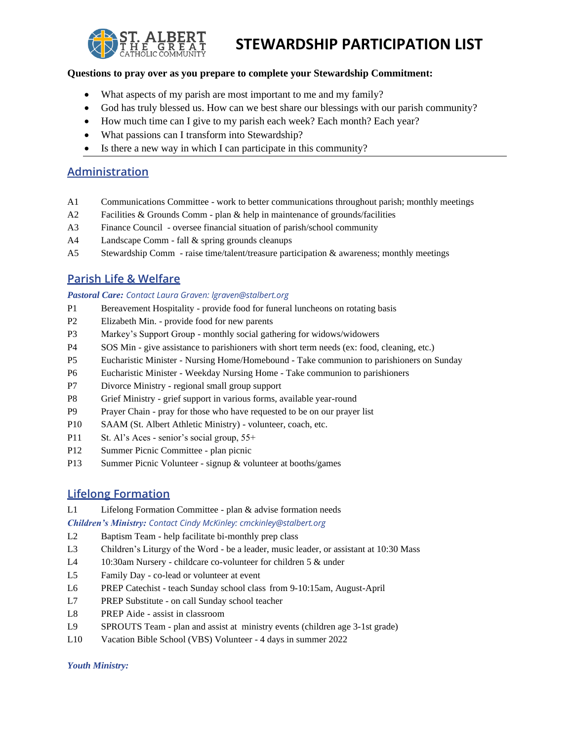

## **STEWARDSHIP PARTICIPATION LIST**

#### **Questions to pray over as you prepare to complete your Stewardship Commitment:**

- What aspects of my parish are most important to me and my family?
- God has truly blessed us. How can we best share our blessings with our parish community?
- How much time can I give to my parish each week? Each month? Each year?
- What passions can I transform into Stewardship?
- Is there a new way in which I can participate in this community?

### **Administration**

- A1 Communications Committee work to better communications throughout parish; monthly meetings
- A2 Facilities & Grounds Comm plan & help in maintenance of grounds/facilities
- A3 Finance Council oversee financial situation of parish/school community
- A4 Landscape Comm fall & spring grounds cleanups
- A5 Stewardship Comm raise time/talent/treasure participation & awareness; monthly meetings

### **Parish Life & Welfare**

#### *Pastoral Care: Contact Laura Graven: lgraven@stalbert.org*

- P1 Bereavement Hospitality provide food for funeral luncheons on rotating basis
- P2 Elizabeth Min. provide food for new parents
- P3 Markey's Support Group monthly social gathering for widows/widowers
- P4 SOS Min give assistance to parishioners with short term needs (ex: food, cleaning, etc.)
- P5 Eucharistic Minister Nursing Home/Homebound Take communion to parishioners on Sunday
- P6 Eucharistic Minister Weekday Nursing Home Take communion to parishioners
- P7 Divorce Ministry regional small group support
- P8 Grief Ministry grief support in various forms, available year-round
- P9 Prayer Chain pray for those who have requested to be on our prayer list
- P10 SAAM (St. Albert Athletic Ministry) volunteer, coach, etc.
- P11 St. Al's Aces senior's social group,  $55+$
- P12 Summer Picnic Committee plan picnic
- P13 Summer Picnic Volunteer signup & volunteer at booths/games

### **Lifelong Formation**

L1 Lifelong Formation Committee - plan & advise formation needs

*Children's Ministry: Contact Cindy McKinley: cmckinley@stalbert.org*

L2 Baptism Team - help facilitate bi-monthly prep class

- L3 Children's Liturgy of the Word be a leader, music leader, or assistant at 10:30 Mass
- L4 10:30am Nursery childcare co-volunteer for children 5 & under
- L5 Family Day co-lead or volunteer at event
- L6 PREP Catechist teach Sunday school class from 9-10:15am, August-April
- L7 PREP Substitute on call Sunday school teacher
- L8 PREP Aide assist in classroom
- L9 SPROUTS Team plan and assist at ministry events (children age 3-1st grade)
- L10 Vacation Bible School (VBS) Volunteer 4 days in summer 2022

*Youth Ministry:*